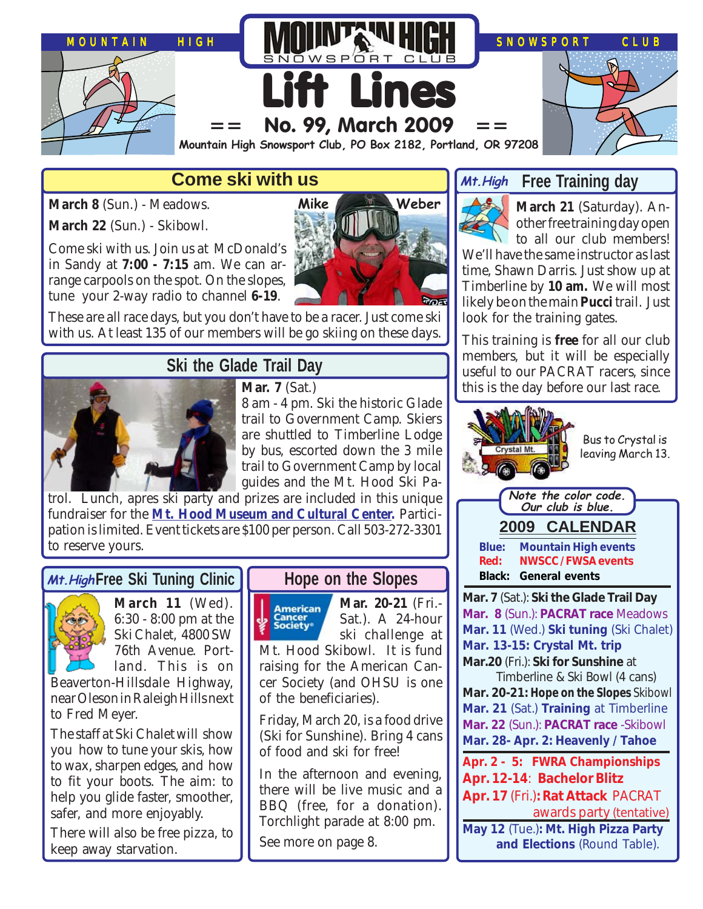

# **Come ski with us**

**March 8** (Sun.) - Meadows.

**March 22** (Sun.) - Skibowl.

Come ski with us. Join us at McDonald's in Sandy at **7:00 - 7:15** am. We can arrange carpools on the spot. On the slopes, tune your 2-way radio to channel **6-19**.



**Mike Weber**

These are all race days, but you don't have to be a racer. Just come ski with us. At least 135 of our members will be go skiing on these days.

# **Ski the Glade Trail Day**



#### **Mar. 7 (Sat.)**

8 am - 4 pm. Ski the historic Glade trail to Government Camp. Skiers are shuttled to Timberline Lodge by bus, escorted down the 3 mile trail to Government Camp by local guides and the Mt. Hood Ski Pa-

trol. Lunch, apres ski party and prizes are included in this unique fundraiser for the **[Mt. Hood Museum and Cultural Center.](http://www.mthoodmuseum.org/glade08/glade08.pdf)** Participation is limited. Event tickets are \$100 per person. Call 503-272-3301 to reserve yours.

#### *Mt.High*Free Ski Tuning Clinic



**March 11** (Wed). 6:30 - 8:00 pm at the Ski Chalet, 4800 SW 76th Avenue. Portland. This is on

Beaverton-Hillsdale Highway, near Oleson in Raleigh Hills next to Fred Meyer.

The staff at Ski Chalet will show you how to tune your skis, how to wax, sharpen edges, and how to fit your boots. The aim: to help you glide faster, smoother, safer, and more enjoyably.

There will also be free pizza, to keep away starvation.

### **Hope on the Slopes**



**Mar. 20-21** (Fri.- Sat.). A 24-hour ski challenge at

Mt. Hood Skibowl. It is fund raising for the American Cancer Society (and OHSU is one of the beneficiaries).

Friday, March 20, is a food drive (Ski for Sunshine). Bring 4 cans of food and ski for free!

In the afternoon and evening, there will be live music and a BBQ (free, for a donation). Torchlight parade at 8:00 pm.

See more on page 8.

#### **Free Training day Mt.High**



**March 21** (Saturday). Another free training day open to all our club members!

We'll have the same instructor as last time, Shawn Darris. Just show up at Timberline by **10 am.** We will most likely be on the main **Pucci** trail. Just look for the training gates.

This training is **free** for all our club members, but it will be especially useful to our PACRAT racers, since this is the day before our last race.

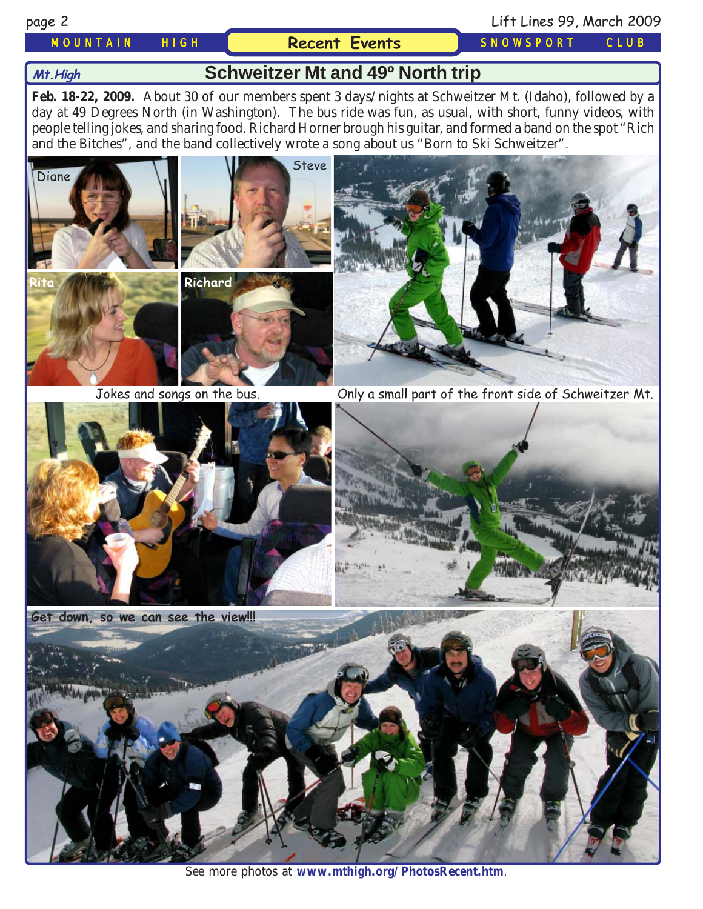#### *MOUNTAIN HIGH* **Recent Events** *SNOWSPORT CLUB*

### page 2 Lift Lines 99, March 2009

#### **Mt.High**

## **Schweitzer Mt and 49º North trip**

**Feb. 18-22, 2009.** About 30 of our members spent 3 days/nights at Schweitzer Mt. (Idaho), followed by a day at 49 Degrees North (in Washington). The bus ride was fun, as usual, with short, funny videos, with people telling jokes, and sharing food. Richard Horner brough his guitar, and formed a band on the spot "Rich and the Bitches", and the band collectively wrote a song about us "Born to Ski Schweitzer".









Jokes and songs on the bus. Only a small part of the front side of Schweitzer Mt.





**Get down, so we can see the view!!!**

See more photos at **[www.mthigh.org/PhotosRecent.htm](http://www.mthigh.org/PhotosRecent.htm)**.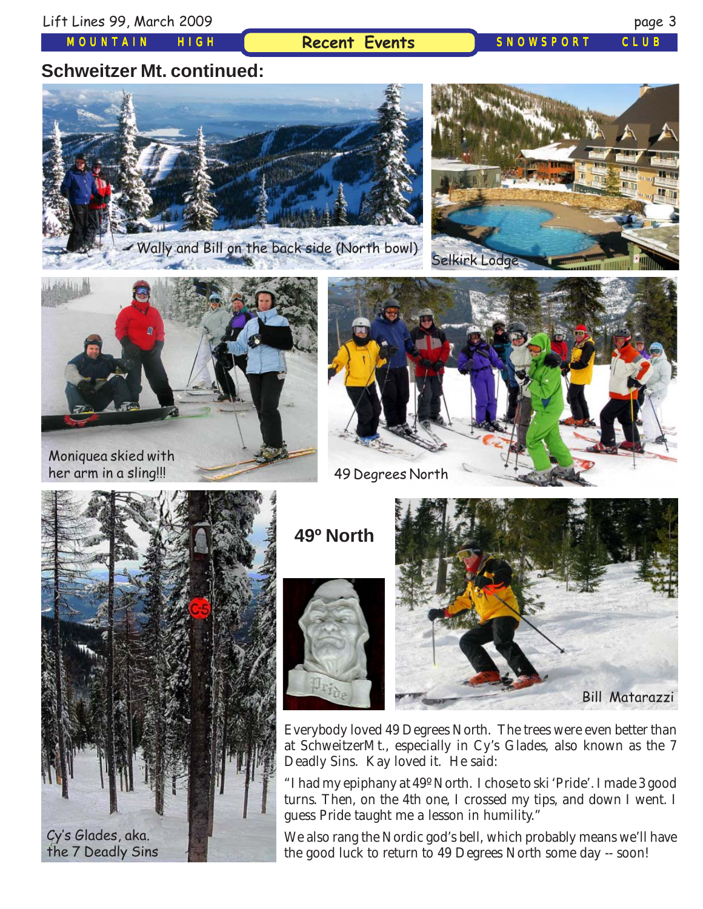*MOUNTAIN HIGH*

**Recent Events** *SNOWSPORT CLUB*

# **Schweitzer Mt. continued:**



Wally and Bill on the back side (North bowl) Selkirk Lodge





Moniquea skied with her arm in a sling!!!





# **49º North**





Everybody loved 49 Degrees North. The trees were even better than at SchweitzerMt., especially in Cy's Glades, also known as the 7 Deadly Sins. Kay loved it. He said:

"I had my epiphany at 49º North. I chose to ski 'Pride'. I made 3 good turns. Then, on the 4th one, I crossed my tips, and down I went. I guess Pride taught me a lesson in humility."

We also rang the Nordic god's bell, which probably means we'll have the good luck to return to 49 Degrees North some day -- soon!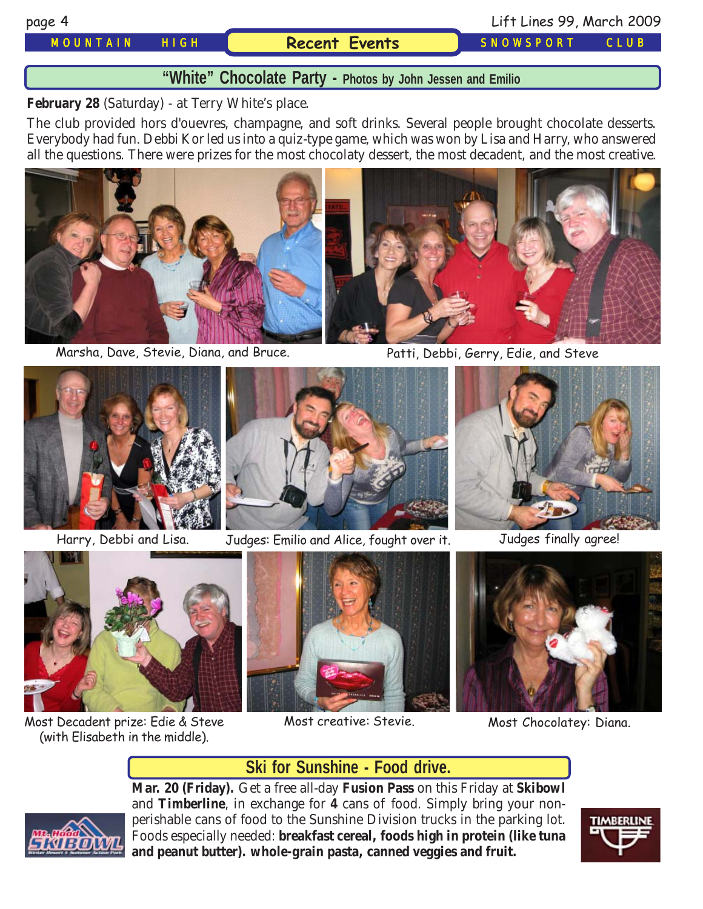#### *MOUNTAIN HIGH* **Recent Events** *SNOWSPORT CLUB*

#### page 4 Lift Lines 99, March 2009

### **"White" Chocolate Party - Photos by John Jessen and Emilio**

**February 28** (Saturday) - at Terry White's place.

The club provided hors d'ouevres, champagne, and soft drinks. Several people brought chocolate desserts. Everybody had fun. Debbi Kor led us into a quiz-type game, which was won by Lisa and Harry, who answered all the questions. There were prizes for the most chocolaty dessert, the most decadent, and the most creative.



Marsha, Dave, Stevie, Diana, and Bruce. Patti, Debbi, Gerry, Edie, and Steve





Harry, Debbi and Lisa. Judges: Emilio and Alice, fought over it. Judges finally agree!





Most Decadent prize: Edie & Steve (with Elisabeth in the middle).





Most creative: Stevie. Most Chocolatey: Diana.

## **Ski for Sunshine - Food drive.**

**Mar. 20 (Friday).** Get a free all-day **Fusion Pass** on this Friday at **Skibowl** and **Timberline**, in exchange for **4** cans of food. Simply bring your nonperishable cans of food to the Sunshine Division trucks in the parking lot. Foods especially needed: **breakfast cereal, foods high in protein (like tuna and peanut butter). whole-grain pasta, canned veggies and fruit.**



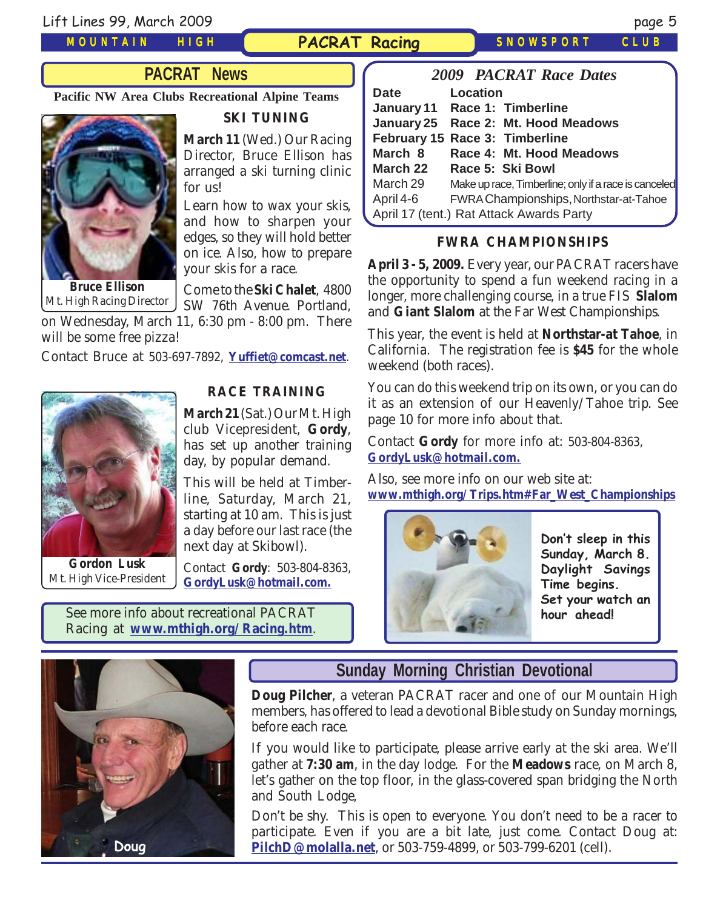*MOUNTAIN HIGH*

#### **PACRAT Racing** *SNOWSPORT CLUB*

# **PACRAT News**

**Pacific NW Area Clubs Recreational Alpine Teams**



**SKI TUNING**

**March 11** (Wed.) Our Racing Director, Bruce Ellison has arranged a ski turning clinic for us!

Learn how to wax your skis, and how to sharpen your edges, so they will hold better on ice. Also, how to prepare your skis for a race.

Come to the **Ski Chalet**, 4800

SW 76th Avenue. Portland, on Wednesday, March 11, 6:30 pm - 8:00 pm. There will be some free pizza! Mt. High Racing Director

Contact Bruce at 503-697-7892, **[Yuffiet@comcast.net](mailto:Yuffiet@comcast.net)**.



**Gordon Lusk** Mt. High Vice-President

#### **RACE TRAINING**

**March 21** (Sat.) Our Mt. High club Vicepresident, **Gordy**, has set up another training day, by popular demand.

This will be held at Timberline, Saturday, March 21, starting at 10 am. This is just a day before our last race (the next day at Skibowl).

Contact **Gordy**: 503-804-8363, **[GordyLusk@hotmail.com.](mailto:gordylusk@hotmail.com)**

See more info about recreational PACRAT Racing at **[www.mthigh.org/Racing.htm](http://www.mthigh.org/Racing.htm)**.



# **Sunday Morning Christian Devotional**

**Doug Pilcher**, a veteran PACRAT racer and one of our Mountain High members, has offered to lead a devotional Bible study on Sunday mornings, before each race.

If you would like to participate, please arrive early at the ski area. We'll gather at **7:30 am**, in the day lodge. For the **Meadows** race, on March 8, let's gather on the top floor, in the glass-covered span bridging the North and South Lodge,

Don't be shy. This is open to everyone. You don't need to be a racer to participate. Even if you are a bit late, just come. Contact Doug at: **Doug [PilchD@molalla.net](mailto:PilchD@molalla.net)**, or 503-759-4899, or 503-799-6201 (cell).

| <b>2009 PACRAT Race Dates</b>            |                                                      |  |  |  |  |
|------------------------------------------|------------------------------------------------------|--|--|--|--|
| Date                                     | Location                                             |  |  |  |  |
|                                          | January 11 Race 1: Timberline                        |  |  |  |  |
|                                          | January 25 Race 2: Mt. Hood Meadows                  |  |  |  |  |
|                                          | February 15 Race 3: Timberline                       |  |  |  |  |
| March 8                                  | Race 4: Mt. Hood Meadows                             |  |  |  |  |
| March 22                                 | Race 5: Ski Bowl                                     |  |  |  |  |
| March 29                                 | Make up race, Timberline; only if a race is canceled |  |  |  |  |
| April 4-6                                | FWRA Championships, Northstar-at-Tahoe               |  |  |  |  |
| April 17 (tent.) Rat Attack Awards Party |                                                      |  |  |  |  |

#### **FWRA CHAMPIONSHIPS**

**April 3 - 5, 2009.** Every year, our PACRAT racers have the opportunity to spend a fun weekend racing in a longer, more challenging course, in a true FIS **Slalom** and **Giant Slalom** at the Far West Championships.

This year, the event is held at **Northstar-at Tahoe**, in California. The registration fee is **\$45** for the whole weekend (both races).

You can do this weekend trip on its own, or you can do it as an extension of our Heavenly/Tahoe trip. See page 10 for more info about that.

Contact **Gordy** for more info at: 503-804-8363, **[GordyLusk@hotmail.com](mailto:gordylusk@hotmail.com).**

Also, see more info on our web site at: **[www.mthigh.org/Trips.htm#Far\\_West\\_Championships](http://www.mthigh.org/Trips.htm#Far_West_Championships)**



**Don't sleep in this Sunday, March 8. Daylight Savings Time begins. Set your watch an hour ahead!**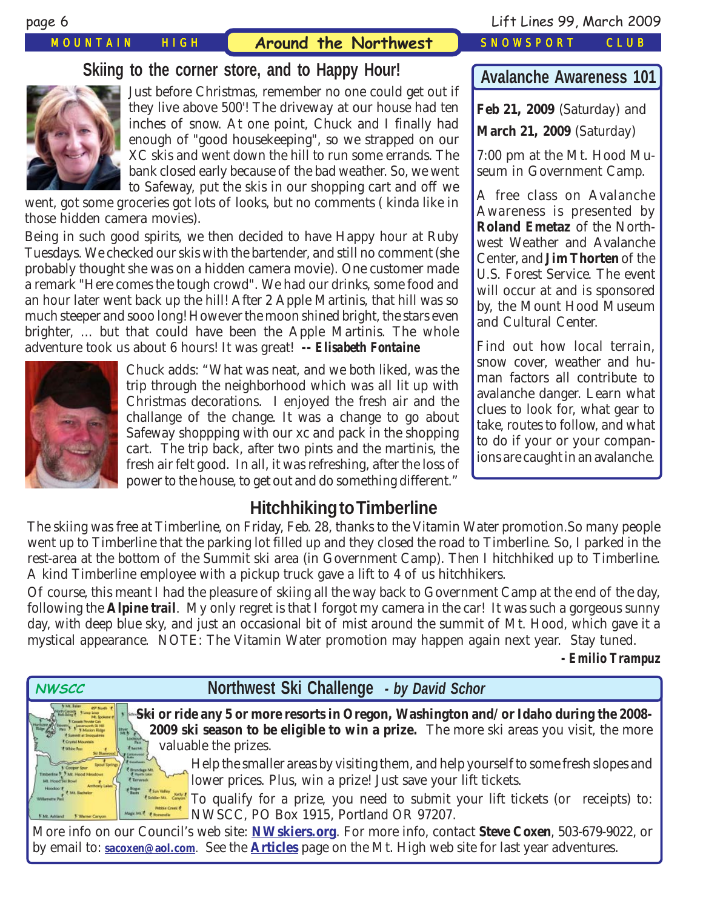#### *MOUNTAIN HIGH* **Around the Northwest** *SNOWSPORT CLUB*

### **Skiing to the corner store, and to Happy Hour!**



Just before Christmas, remember no one could get out if they live above 500'! The driveway at our house had ten inches of snow. At one point, Chuck and I finally had enough of "good housekeeping", so we strapped on our XC skis and went down the hill to run some errands. The bank closed early because of the bad weather. So, we went to Safeway, put the skis in our shopping cart and off we

went, got some groceries got lots of looks, but no comments ( kinda like in those hidden camera movies).

Being in such good spirits, we then decided to have Happy hour at Ruby Tuesdays. We checked our skis with the bartender, and still no comment (she probably thought she was on a hidden camera movie). One customer made a remark "Here comes the tough crowd". We had our drinks, some food and an hour later went back up the hill! After 2 Apple Martinis, that hill was so much steeper and sooo long! However the moon shined bright, the stars even brighter, ... but that could have been the Apple Martinis. The whole adventure took us about 6 hours! It was great! **--** *Elisabeth Fontaine*



Chuck adds: "What was neat, and we both liked, was the trip through the neighborhood which was all lit up with Christmas decorations. I enjoyed the fresh air and the challange of the change. It was a change to go about Safeway shoppping with our xc and pack in the shopping cart. The trip back, after two pints and the martinis, the fresh air felt good. In all, it was refreshing, after the loss of power to the house, to get out and do something different."

## **Hitchhiking to Timberline**

The skiing was free at Timberline, on Friday, Feb. 28, thanks to the Vitamin Water promotion.So many people went up to Timberline that the parking lot filled up and they closed the road to Timberline. So, I parked in the rest-area at the bottom of the Summit ski area (in Government Camp). Then I hitchhiked up to Timberline. A kind Timberline employee with a pickup truck gave a lift to 4 of us hitchhikers.

Of course, this meant I had the pleasure of skiing all the way back to Government Camp at the end of the day, following the **Alpine trail**. My only regret is that I forgot my camera in the car! It was such a gorgeous sunny day, with deep blue sky, and just an occasional bit of mist around the summit of Mt. Hood, which gave it a mystical appearance. NOTE: The Vitamin Water promotion may happen again next year. Stay tuned.

*- Emilio Trampuz*

## **Northwest Ski Challenge - by David Schor**

**Ski or ride any 5 or more resorts in Oregon, Washington and/or Idaho during the 2008- 2009 ski season to be eligible to win a prize.** The more ski areas you visit, the more valuable the prizes.

Help the smaller areas by visiting them, and help yourself to some fresh slopes and lower prices. Plus, win a prize! Just save your lift tickets.

To qualify for a prize, you need to submit your lift tickets (or receipts) to: NWSCC, PO Box 1915, Portland OR 97207.

More info on our Council's web site: **[NWskiers.org](http://www.nwskiers.org/)**. For more info, contact **Steve Coxen**, 503-679-9022, or by email to: **[sacoxen@aol.com](mailto:sacoxen@aol.com)**. See the **[Articles](http://www.mthigh.org/Articles.htm)** page on the Mt. High web site for last year adventures.

**Avalanche Awareness 101**

**Feb 21, 2009** (Saturday) and

**March 21, 2009** (Saturday)

7:00 pm at the Mt. Hood Museum in Government Camp.

A free class on Avalanche Awareness is presented by **Roland Emetaz** of the Northwest Weather and Avalanche Center, and **Jim Thorten** of the U.S. Forest Service. The event will occur at and is sponsored by, the Mount Hood Museum and Cultural Center.

Find out how local terrain, snow cover, weather and human factors all contribute to avalanche danger. Learn what clues to look for, what gear to take, routes to follow, and what to do if your or your companions are caught in an avalanche.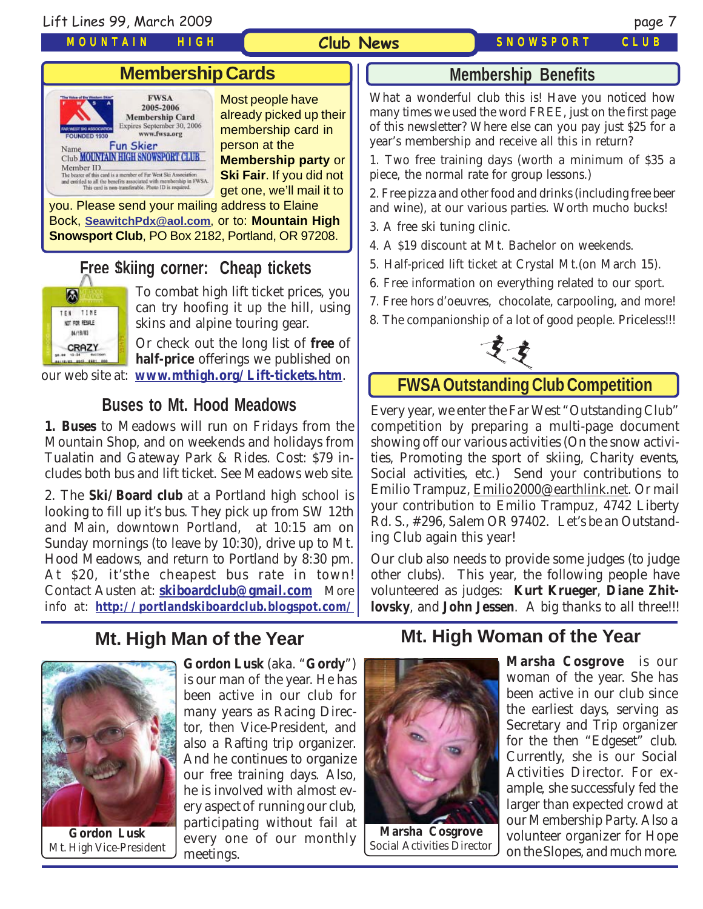Lift Lines 99, March 2009 page 7

*MOUNTAIN HIGH*

**Fun Skier** 

Club **MOUNTAIN HIGH SNOWSPORT CLUB** 

The bearer of this eard is a member of Far West Ski Association<br>and entitled to all the benefits associated with membership in FWSA.<br>This card is non-transferable, Photo ID is required.

**FWSA** 2005-2006 **Membership Card** Expires September 30, 2006<br>www.fwsa.org

#### **Club News**

*SNOWSPORT CLUB*

# **Membership Cards**



Member ID\_

Name

Most people have already picked up their membership card in person at the **Membership party** or **Ski Fair**. If you did not get one, we'll mail it to

you. Please send your mailing address to Elaine Bock, **[SeawitchPdx@aol.com](mailto:seawitchpdx@aol.com)**, or to: **Mountain High Snowsport Club**, PO Box 2182, Portland, OR 97208.

# **Free \$kiing corner: Cheap tickets**



To combat high lift ticket prices, you can try hoofing it up the hill, using skins and alpine touring gear.

Or check out the long list of **free** of **half-price** offerings we published on our web site at: **[www.mthigh.org/Lift-tickets.htm](http://www.mthigh.org/Lift-tickets.htm)**.

### **Buses to Mt. Hood Meadows**

**1. Buses** to Meadows will run on Fridays from the Mountain Shop, and on weekends and holidays from Tualatin and Gateway Park & Rides. Cost: \$79 includes both bus and lift ticket. See Meadows web site.

2. The **Ski/Board club** at a Portland high school is looking to fill up it's bus. They pick up from SW 12th and Main, downtown Portland, at 10:15 am on Sunday mornings (to leave by 10:30), drive up to Mt. Hood Meadows, and return to Portland by 8:30 pm. At \$20, it'sthe cheapest bus rate in town! Contact Austen at: **[skiboardclub@gmail.com](mailto:skiboardclub@gmail.com)** More info at: **<http://portlandskiboardclub.blogspot.com/>**

# **Mt. High Man of the Year**



**Gordon Lusk** Mt. High Vice-President

**Gordon Lusk** (aka. "**Gordy**") is our man of the year. He has been active in our club for many years as Racing Director, then Vice-President, and also a Rafting trip organizer. And he continues to organize our free training days. Also, he is involved with almost every aspect of running our club, participating without fail at every one of our monthly meetings.

## **Mt. High Woman of the Year**



**Marsha Cosgrove** Social Activities Director

**Marsha Cosgrove** is our woman of the year. She has been active in our club since the earliest days, serving as Secretary and Trip organizer for the then "Edgeset" club. Currently, she is our Social Activities Director. For example, she successfuly fed the larger than expected crowd at our Membership Party. Also a volunteer organizer for Hope on the Slopes, and much more.

### **Membership Benefits**

What a wonderful club this is! Have you noticed how many times we used the word FREE, just on the first page of this newsletter? Where else can you pay just \$25 for a year's membership and receive all this in return?

1. Two free training days (worth a minimum of \$35 a piece, the normal rate for group lessons.)

2. Free pizza and other food and drinks (including free beer and wine), at our various parties. Worth mucho bucks!

3. A free ski tuning clinic.

4. A \$19 discount at Mt. Bachelor on weekends.

- 5. Half-priced lift ticket at Crystal Mt.(on March 15).
- 6. Free information on everything related to our sport.
- 7. Free hors d'oeuvres, chocolate, carpooling, and more!
- 8. The companionship of a lot of good people. Priceless!!!



## **FWSA Outstanding Club Competition**

Every year, we enter the Far West "Outstanding Club" competition by preparing a multi-page document showing off our various activities (On the snow activities, Promoting the sport of skiing, Charity events, Social activities, etc.) Send your contributions to Emilio Trampuz, Emilio2000@earthlink.net. Or mail your contribution to Emilio Trampuz, 4742 Liberty Rd. S., #296, Salem OR 97402. Let's be an Outstanding Club again this year!

Our club also needs to provide some judges (to judge other clubs). This year, the following people have volunteered as judges: **Kurt Krueger**, **Diane Zhitlovsky**, and **John Jessen**. A big thanks to all three!!!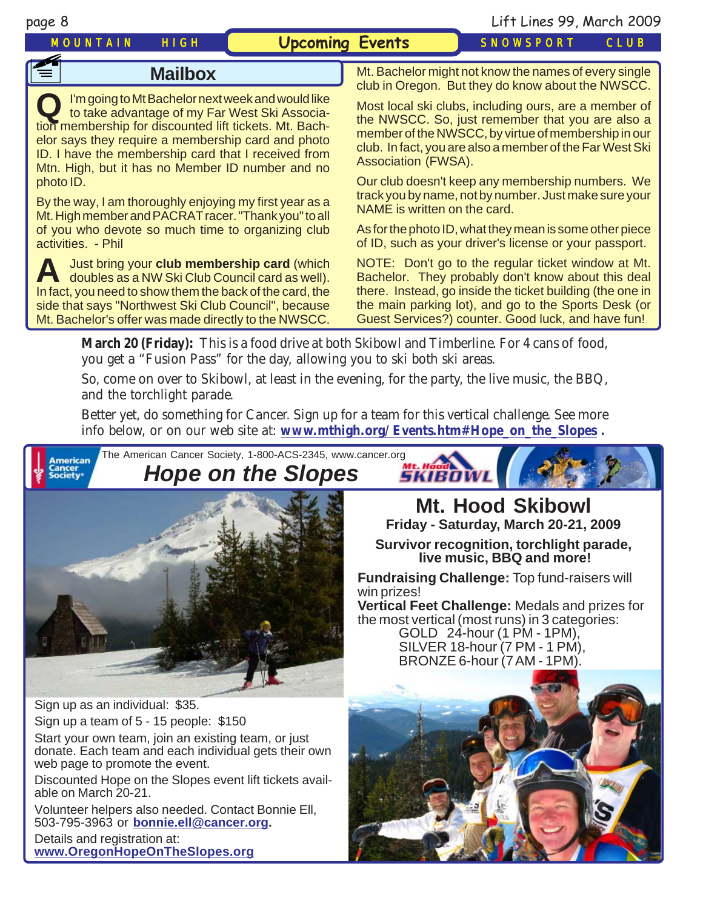| page 8                                                                                                                                                                                                                                                                                                                                                                                                                                                        |                                                                                                                                                                                                                                                                                                                                                                                                  |                                                                                                            | Lift Lines 99, March 2009                                                                                                                                                                                                                              |      |  |  |  |
|---------------------------------------------------------------------------------------------------------------------------------------------------------------------------------------------------------------------------------------------------------------------------------------------------------------------------------------------------------------------------------------------------------------------------------------------------------------|--------------------------------------------------------------------------------------------------------------------------------------------------------------------------------------------------------------------------------------------------------------------------------------------------------------------------------------------------------------------------------------------------|------------------------------------------------------------------------------------------------------------|--------------------------------------------------------------------------------------------------------------------------------------------------------------------------------------------------------------------------------------------------------|------|--|--|--|
| HIGH<br><b>MOUNTAIN</b>                                                                                                                                                                                                                                                                                                                                                                                                                                       | <b>Upcoming Events</b>                                                                                                                                                                                                                                                                                                                                                                           |                                                                                                            | <b>SNOWSPORT</b>                                                                                                                                                                                                                                       | CLUB |  |  |  |
| <b>Mailbox</b>                                                                                                                                                                                                                                                                                                                                                                                                                                                |                                                                                                                                                                                                                                                                                                                                                                                                  | Mt. Bachelor might not know the names of every single<br>club in Oregon. But they do know about the NWSCC. |                                                                                                                                                                                                                                                        |      |  |  |  |
| I'm going to Mt Bachelor next week and would like<br>to take advantage of my Far West Ski Associa-<br>tion membership for discounted lift tickets. Mt. Bach-<br>elor says they require a membership card and photo<br>ID. I have the membership card that I received from<br>Mtn. High, but it has no Member ID number and no<br>photo ID.<br>By the way, I am thoroughly enjoying my first year as a<br>Mt. High member and PACRAT racer. "Thank you" to all | Most local ski clubs, including ours, are a member of<br>the NWSCC. So, just remember that you are also a<br>member of the NWSCC, by virtue of membership in our<br>club. In fact, you are also a member of the Far West Ski<br>Association (FWSA).<br>Our club doesn't keep any membership numbers. We<br>track you by name, not by number. Just make sure your<br>NAME is written on the card. |                                                                                                            |                                                                                                                                                                                                                                                        |      |  |  |  |
| of you who devote so much time to organizing club<br>activities. - Phil                                                                                                                                                                                                                                                                                                                                                                                       | As for the photo ID, what they mean is some other piece<br>of ID, such as your driver's license or your passport.                                                                                                                                                                                                                                                                                |                                                                                                            |                                                                                                                                                                                                                                                        |      |  |  |  |
| Just bring your club membership card (which<br>doubles as a NW Ski Club Council card as well).<br>In fact, you need to show them the back of the card, the<br>side that says "Northwest Ski Club Council", because<br>Mt. Bachelor's offer was made directly to the NWSCC.                                                                                                                                                                                    | NOTE: Don't go to the regular ticket window at Mt.<br>Bachelor. They probably don't know about this deal<br>there. Instead, go inside the ticket building (the one in<br>the main parking lot), and go to the Sports Desk (or<br>Guest Services?) counter. Good luck, and have fun!                                                                                                              |                                                                                                            |                                                                                                                                                                                                                                                        |      |  |  |  |
| you get a "Fusion Pass" for the day, allowing you to ski both ski areas.<br>So, come on over to Skibowl, at least in the evening, for the party, the live music, the BBQ,<br>and the torchlight parade.<br>Better yet, do something for Cancer. Sign up for a team for this vertical challenge. See more                                                                                                                                                      |                                                                                                                                                                                                                                                                                                                                                                                                  |                                                                                                            |                                                                                                                                                                                                                                                        |      |  |  |  |
| info below, or on our web site at: www.mthigh.org/Events.htm#Hope on the Slopes.<br>The American Cancer Society, 1-800-ACS-2345, www.cancer.org<br>American<br>Cancer<br><b>Hope on the Slopes</b><br>ociety <sup>®</sup>                                                                                                                                                                                                                                     |                                                                                                                                                                                                                                                                                                                                                                                                  |                                                                                                            |                                                                                                                                                                                                                                                        |      |  |  |  |
|                                                                                                                                                                                                                                                                                                                                                                                                                                                               |                                                                                                                                                                                                                                                                                                                                                                                                  |                                                                                                            | Mt. Hood Skibowl<br>Friday - Saturday, March 20-21, 2009<br>Survivor recognition, torchlight parade,                                                                                                                                                   |      |  |  |  |
|                                                                                                                                                                                                                                                                                                                                                                                                                                                               |                                                                                                                                                                                                                                                                                                                                                                                                  |                                                                                                            | live music, BBQ and more!                                                                                                                                                                                                                              |      |  |  |  |
|                                                                                                                                                                                                                                                                                                                                                                                                                                                               |                                                                                                                                                                                                                                                                                                                                                                                                  | win prizes!                                                                                                | <b>Fundraising Challenge: Top fund-raisers will</b><br>Vertical Feet Challenge: Medals and prizes for<br>the most vertical (most runs) in 3 categories:<br>GOLD 24-hour (1 PM - 1PM),<br>SILVER 18-hour (7 PM - 1 PM),<br>BRONZE 6-hour (7 AM - 1 PM). |      |  |  |  |
|                                                                                                                                                                                                                                                                                                                                                                                                                                                               |                                                                                                                                                                                                                                                                                                                                                                                                  |                                                                                                            |                                                                                                                                                                                                                                                        |      |  |  |  |
| Sign up as an individual: \$35.<br>Sign up a team of 5 - 15 people: \$150<br>Start your own team, join an existing team, or just<br>donate. Each team and each individual gets their own<br>web page to promote the event.                                                                                                                                                                                                                                    |                                                                                                                                                                                                                                                                                                                                                                                                  |                                                                                                            |                                                                                                                                                                                                                                                        |      |  |  |  |
| Discounted Hope on the Slopes event lift tickets avail-<br>able on March 20-21.                                                                                                                                                                                                                                                                                                                                                                               |                                                                                                                                                                                                                                                                                                                                                                                                  |                                                                                                            |                                                                                                                                                                                                                                                        |      |  |  |  |
| Volunteer helpers also needed. Contact Bonnie Ell,<br>503-795-3963 or <b>bonnie.ell@cancer.org.</b>                                                                                                                                                                                                                                                                                                                                                           |                                                                                                                                                                                                                                                                                                                                                                                                  |                                                                                                            |                                                                                                                                                                                                                                                        |      |  |  |  |
| Details and registration at:<br>www.OregonHopeOnTheSlopes.org                                                                                                                                                                                                                                                                                                                                                                                                 |                                                                                                                                                                                                                                                                                                                                                                                                  |                                                                                                            |                                                                                                                                                                                                                                                        |      |  |  |  |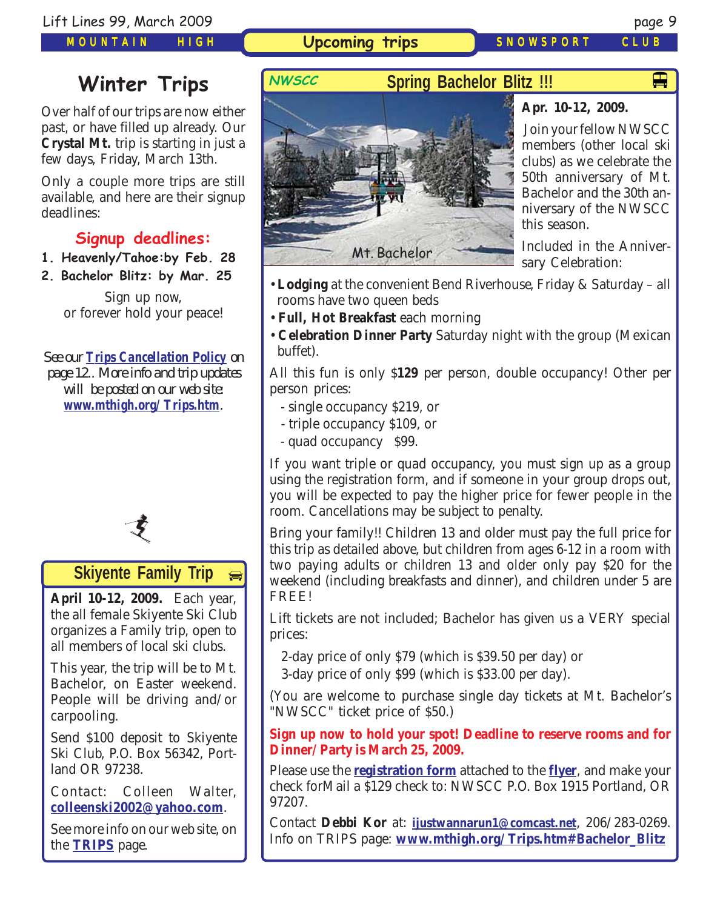*MOUNTAIN HIGH*

**Upcoming trips** *SNOWSPORT CLUB*

 $\blacksquare$ 

# **Winter Trips** NWSCC

Over half of our trips are now either past, or have filled up already. Our **Crystal Mt.** trip is starting in just a few days, Friday, March 13th.

Only a couple more trips are still available, and here are their signup deadlines:

# **Signup deadlines:**

- **1. Heavenly/Tahoe:by Feb. 28**
- **2. Bachelor Blitz: by Mar. 25**

Sign up now, or forever hold your peace!

*See our [Trips Cancellation Policy](http://www.mthigh.org/Documents/Trip-Cancellation-Policy.pdf) on page 12.. More info and trip updates will be posted on our web site: [www.mthigh.org/Trips.htm](http://www.mthigh.org/Trips.htm).*



#### **Skiyente Family Trip**  $\bigoplus$

**April 10-12, 2009.** Each year, the all female Skiyente Ski Club organizes a Family trip, open to all members of local ski clubs.

This year, the trip will be to Mt. Bachelor, on Easter weekend. People will be driving and/or carpooling.

Send \$100 deposit to Skiyente Ski Club, P.O. Box 56342, Portland OR 97238.

Contact: Colleen Walter, **[colleenski2002@yahoo.com](mailto:colleenski2002@yahoo.com)**.

See more info on our web site, on the **[TRIPS](http://www.mthigh.org/Trips.htm)** page.

**Spring Bachelor Blitz !!!**



#### **Apr. 10-12, 2009.**

 Join your fellow NWSCC members (other local ski clubs) as we celebrate the 50th anniversary of Mt. Bachelor and the 30th anniversary of the NWSCC this season.

Included in the Anniversary Celebration:

- **Lodging** at the convenient Bend Riverhouse, Friday & Saturday all rooms have two queen beds
- **Full, Hot Breakfast** each morning
- **Celebration Dinner Party** Saturday night with the group (Mexican buffet).

All this fun is only \$**129** per person, double occupancy! Other per person prices:

- single occupancy \$219, or
- triple occupancy \$109, or
- quad occupancy \$99.

If you want triple or quad occupancy, you must sign up as a group using the registration form, and if someone in your group drops out, you will be expected to pay the higher price for fewer people in the room. Cancellations may be subject to penalty.

Bring your family!! Children 13 and older must pay the full price for this trip as detailed above, but children from ages 6-12 in a room with two paying adults or children 13 and older only pay \$20 for the weekend (including breakfasts and dinner), and children under 5 are FREE!

Lift tickets are not included; Bachelor has given us a VERY special prices:

2-day price of only \$79 (which is \$39.50 per day) or

3-day price of only \$99 (which is \$33.00 per day).

(You are welcome to purchase single day tickets at Mt. Bachelor's "NWSCC" ticket price of \$50.)

**Sign up now to hold your spot! Deadline to reserve rooms and for Dinner/Party is March 25, 2009.**

Please use the **[registration form](http://www.mthigh.org/Trips/2009%20Blitz%20Flyer-April.pdf)** attached to the **[flyer](http://www.mthigh.org/Trips/2009%20Blitz%20Flyer-April.pdf)**, and make your check forMail a \$129 check to: NWSCC P.O. Box 1915 Portland, OR 97207.

Contact **Debbi Kor** at: **[ijustwannarun1@comcast.net](mailto:Ijustwannarun1@comcast.net)**, 206/283-0269. Info on TRIPS page: **[www.mthigh.org/Trips.htm#Bachelor\\_Blitz](http://www.mthigh.org/Trips.htm#Bachelor_Blitz)**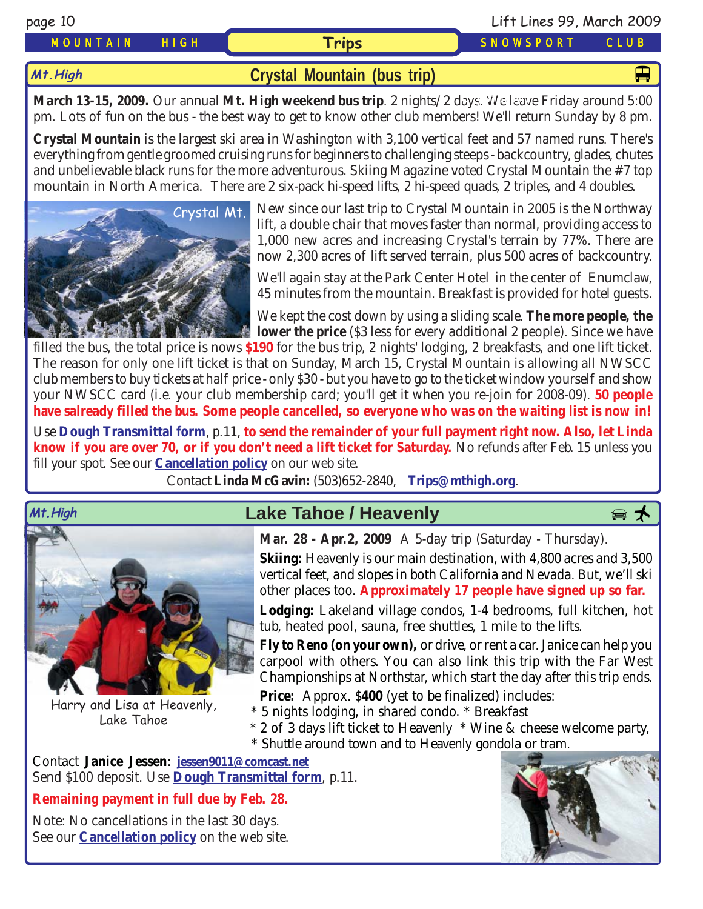**Mt.High**

### *MOUNTAIN HIGH* **Trips** *SNOWSPORT CLUB*

**[Crystal Mountain \(bus trip\)](http://www.crystalmt.com/)**

**March 13-15, 2009.** Our annual Mt. High weekend bus trip. 2 nights/2 days. We leave Friday around 5:00 pm. Lots of fun on the bus - the best way to get to know other club members! We'll return Sunday by 8 pm.

**Crystal Mountain** is the largest ski area in Washington with 3,100 vertical feet and 57 named runs. There's everything from gentle groomed cruising runs for beginners to challenging steeps - backcountry, glades, chutes and unbelievable black runs for the more adventurous. Skiing Magazine voted Crystal Mountain the #7 top mountain in North America. There are 2 six-pack hi-speed lifts, 2 hi-speed quads, 2 triples, and 4 doubles.

> New since our last trip to Crystal Mountain in 2005 is the Northway lift, a double chair that moves faster than normal, providing access to 1,000 new acres and increasing Crystal's terrain by 77%. There are now 2,300 acres of lift served terrain, plus 500 acres of backcountry. [Crystal Mt.](http://www.crystalmt.com/)

> > We'll again stay at the Park Center Hotel in the center of Enumclaw, 45 minutes from the mountain. Breakfast is provided for hotel guests.

We kept the cost down by using a sliding scale. **The more people, the lower the price** (\$3 less for every additional 2 people). Since we have

filled the bus, the total price is nows **\$190** for the bus trip, 2 nights' lodging, 2 breakfasts, and one lift ticket. The reason for only one lift ticket is that on Sunday, March 15, Crystal Mountain is allowing all NWSCC club members to buy tickets at half price - only \$30 - but you have to go to the ticket window yourself and show your NWSCC card (i.e. your club membership card; you'll get it when you re-join for 2008-09). **50 people have salready filled the bus. Some people cancelled, so everyone who was on the waiting list is now in!**

Use **[Dough Transmittal form](http://www.mthigh.org/Documents/DOUGH%20TRANSMITTAL%20FORM.pdf)**, p.11, **to send the remainder of your full payment right now. Also, let Linda know if you are over 70, or if you don't need a lift ticket for Saturday.** No refunds after Feb. 15 unless you fill your spot. See our **[Cancellation policy](http://www.mthigh.org/Documents/Trip-Cancellation-Policy.pdf)** on our web site.

Contact **Linda McGavin:** (503)652-2840, **[Trips@mthigh.org](mailto:Trips@mthigh.org)**.



Harry and Lisa at Heavenly, Lake Tahoe

# Mt.High **Download Cake Tahoe / Heavenly**

**Mar. 28 - Apr.2, 2009** A 5-day trip (Saturday - Thursday).

**Skiing:** Heavenly is our main destination, with 4,800 acres and 3,500 vertical feet, and slopes in both California and Nevada. But, we'll ski other places too. **Approximately 17 people have signed up so far.**

**Lodging:** Lakeland village condos, 1-4 bedrooms, full kitchen, hot tub, heated pool, sauna, free shuttles, 1 mile to the lifts.

**Fly to Reno (on your own),** or drive, or rent a car. Janice can help you carpool with others. You can also link this trip with the Far West Championships at Northstar, which start the day after this trip ends.

**Price:** Approx. \$**400** (yet to be finalized) includes:

- \* 5 nights lodging, in shared condo. \* Breakfast
- \* 2 of 3 days lift ticket to Heavenly \* Wine & cheese welcome party,
- \* Shuttle around town and to Heavenly gondola or tram.

Contact **Janice Jessen**: **[jessen9011@comcast.net](mailto:jessen9011@comcast.net)** Send \$100 deposit. Use **[Dough Transmittal form](http://www.mthigh.org/Documents/DOUGH%20TRANSMITTAL%20FORM.pdf)**, p.11.

#### **Remaining payment in full due by Feb. 28.**

Note: No cancellations in the last 30 days. See our **[Cancellation policy](http://www.mthigh.org/Documents/Trip-Cancellation-Policy.pdf)** on the web site.





 $\blacksquare$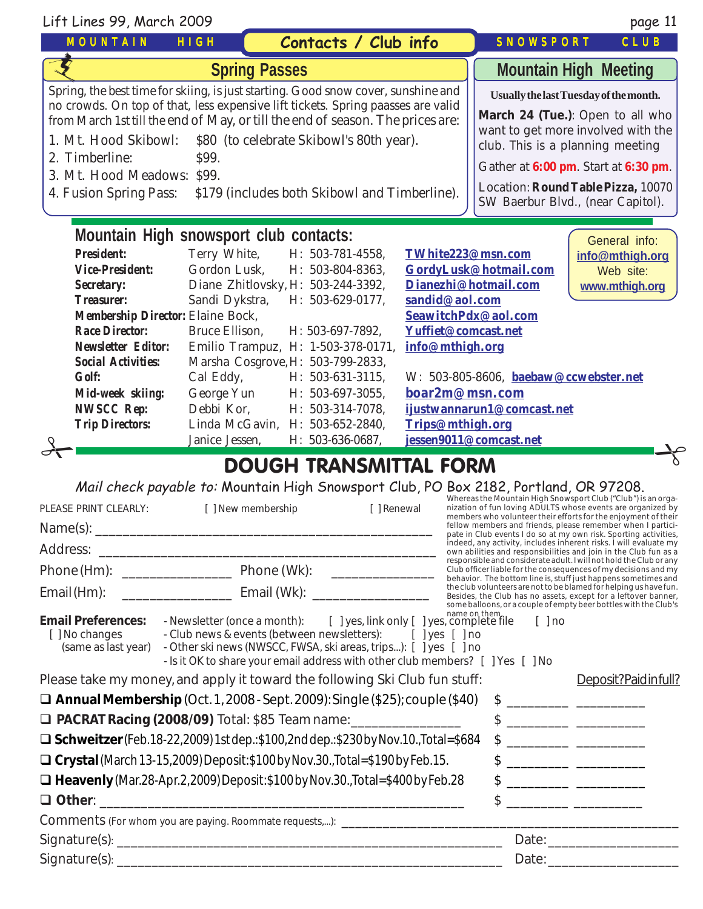*MOUNTAIN HIGH* Lift Lines 99, March 2009 page 11 *SNOWSPORT CLUB* **Mountain High snowsport club contacts:** *President:* Terry White, H: 503-781-4558, **[TWhite223@msn.com](mailto:TWhite223@msn.com)** *Vice-President:* Gordon Lusk, H: 503-804-8363, **[GordyLusk@hotmail.com](mailto:gordylusk@hotmail.com)** *Secretary:* Diane Zhitlovsky,H: 503-244-3392, **[Dianezhi@hotmail.com](mailto:dianezhi@hotmail.com)** *Treasurer:* Sandi Dykstra, H: 503-629-0177, **[sandid@aol.com](mailto:sandid@aol.com)** *Membership Director:* **Elaine Bock,<br>
Race Director: Bruce Ellison** *Race Director:* Bruce Ellison, H: 503-697-7892, **[Yuffiet@comcast.net](mailto:Yuffiet@comcast.net)** *Newsletter Editor:* Emilio Trampuz, H: 1-503-378-0171, **i[nfo@mthigh.org](mailto:info@mthigh.org)** *Social Activities:* Marsha Cosgrove,H: 503-799-2833, *Golf:* Cal Eddy, H: 503-631-3115, W: 503-805-8606, **[baebaw@ccwebster.net](mailto:baebaw@ccwebster.net)** *Mid-week skiing:* George Yun H: 503-697-3055, **[boar2m@msn.com](mailto:boar2m@msn.com)** *NWSCC Rep:* Debbi Kor, H: 503-314-7078, **[ijustwannarun1@comcast.net](mailto:Ijustwannarun1@comcast.net)** *Trip Directors:* Linda McGavin, H: 503-652-2840, **[Trips@mthigh.org](mailto:Trips@mthigh.org)** Janice Jessen, H: 503-636-0687, **[jessen9011@comcast.net](mailto:jessen9011@comcast.net) Mountain High Meeting Usually the last Tuesday of the month. March 24 (Tue.)**: Open to all who want to get more involved with the club. This is a planning meeting Gather at **6:00 pm**. Start at **6:30 pm**. Location: **Round Table Pizza,** 10070 SW Baerbur Blvd., (near Capitol). **Contacts / Club info** General info: **[info@mthigh.org](mailto:info@MtHigh.org)** Web site: **[www.mthigh.org](http://www.mthigh.org/)**  $\frac{1}{\sqrt{1-\frac{1}{\sqrt{1-\frac{1}{\sqrt{1-\frac{1}{\sqrt{1-\frac{1}{\sqrt{1-\frac{1}{\sqrt{1-\frac{1}{\sqrt{1-\frac{1}{\sqrt{1-\frac{1}{\sqrt{1-\frac{1}{\sqrt{1-\frac{1}{\sqrt{1-\frac{1}{\sqrt{1-\frac{1}{\sqrt{1-\frac{1}{\sqrt{1-\frac{1}{\sqrt{1-\frac{1}{\sqrt{1-\frac{1}{\sqrt{1-\frac{1}{\sqrt{1-\frac{1}{\sqrt{1-\frac{1}{\sqrt{1-\frac{1}{\sqrt{1-\frac{1}{\sqrt{1-\frac{1}{\sqrt{1-\frac{1}{\sqrt{1-\frac{1$  **Spring Passes** Spring, the best time for skiing, is just starting. Good snow cover, sunshine and no crowds. On top of that, less expensive lift tickets. Spring paasses are valid from March 1st till the end of May, or till the end of season. The prices are: 1. Mt. Hood Skibowl: \$80 (to celebrate Skibowl's 80th year). 2. Timberline: \$99. 3. Mt. Hood Meadows: \$99. 4. Fusion Spring Pass: \$179 (includes both Skibowl and Timberline).  $\overrightarrow{\mathbf{X}}$ 

# DOUGH TRANSMITTAL FORM

Mail check payable to: Mountain High Snowsport Club, PO Box 2182, Portland, OR 97208.

Whereas the Mountain High Snowsport Club ("Club") is an orga-

| PLEASE PRINT CLEARLY:                                                                      | [ ] New membership                                                                                                                                                                                                                                                                         | [ ] Renewal                                                                                                                                                                                                                                                                                                         |          | which cas the Modificant High Showsport Grab ("Grab") is an orga<br>nization of fun loving ADULTS whose events are organized by<br>members who volunteer their efforts for the enjoyment of their                                                                                                                   |
|--------------------------------------------------------------------------------------------|--------------------------------------------------------------------------------------------------------------------------------------------------------------------------------------------------------------------------------------------------------------------------------------------|---------------------------------------------------------------------------------------------------------------------------------------------------------------------------------------------------------------------------------------------------------------------------------------------------------------------|----------|---------------------------------------------------------------------------------------------------------------------------------------------------------------------------------------------------------------------------------------------------------------------------------------------------------------------|
|                                                                                            | Name(s):                                                                                                                                                                                                                                                                                   |                                                                                                                                                                                                                                                                                                                     |          | fellow members and friends, please remember when I partici-<br>pate in Club events I do so at my own risk. Sporting activities,                                                                                                                                                                                     |
|                                                                                            |                                                                                                                                                                                                                                                                                            |                                                                                                                                                                                                                                                                                                                     |          | indeed, any activity, includes inherent risks. I will evaluate my<br>own abilities and responsibilities and join in the Club fun as a                                                                                                                                                                               |
|                                                                                            |                                                                                                                                                                                                                                                                                            |                                                                                                                                                                                                                                                                                                                     |          | responsible and considerate adult. I will not hold the Club or any<br>Club officer liable for the consequences of my decisions and my<br>behavior. The bottom line is, stuff just happens sometimes and                                                                                                             |
|                                                                                            |                                                                                                                                                                                                                                                                                            |                                                                                                                                                                                                                                                                                                                     |          | the club volunteers are not to be blamed for helping us have fun.<br>Besides, the Club has no assets, except for a leftover banner,<br>some balloons, or a couple of empty beer bottles with the Club's                                                                                                             |
| <b>Email Preferences:</b><br>[] No changes<br>(same as last year)                          | - Newsletter (once a month): [ ] yes, link only [ ] yes, complete file<br>- Club news & events (between newsletters): [ ] yes [ ] no<br>- Other ski news (NWSCC, FWSA, ski areas, trips): [ ] yes [ ] no<br>- Is it OK to share your email address with other club members? [ ] Yes [ ] No |                                                                                                                                                                                                                                                                                                                     | $[ ]$ no |                                                                                                                                                                                                                                                                                                                     |
|                                                                                            | Please take my money, and apply it toward the following Ski Club fun stuff:                                                                                                                                                                                                                |                                                                                                                                                                                                                                                                                                                     |          | Deposit?Paidinfull?                                                                                                                                                                                                                                                                                                 |
| $\Box$ Annual Membership (Oct. 1, 2008 - Sept. 2009): Single (\$25); couple (\$40)         |                                                                                                                                                                                                                                                                                            |                                                                                                                                                                                                                                                                                                                     |          | $\frac{1}{2}$ $\frac{1}{2}$ $\frac{1}{2}$ $\frac{1}{2}$ $\frac{1}{2}$ $\frac{1}{2}$ $\frac{1}{2}$ $\frac{1}{2}$ $\frac{1}{2}$ $\frac{1}{2}$ $\frac{1}{2}$ $\frac{1}{2}$ $\frac{1}{2}$ $\frac{1}{2}$ $\frac{1}{2}$ $\frac{1}{2}$ $\frac{1}{2}$ $\frac{1}{2}$ $\frac{1}{2}$ $\frac{1}{2}$ $\frac{1}{2}$ $\frac{1}{2}$ |
| □ PACRAT Racing (2008/09) Total: \$85 Team name: __________________                        |                                                                                                                                                                                                                                                                                            |                                                                                                                                                                                                                                                                                                                     |          | $\frac{1}{2}$ $\frac{1}{2}$ $\frac{1}{2}$ $\frac{1}{2}$ $\frac{1}{2}$ $\frac{1}{2}$ $\frac{1}{2}$ $\frac{1}{2}$ $\frac{1}{2}$ $\frac{1}{2}$ $\frac{1}{2}$ $\frac{1}{2}$ $\frac{1}{2}$ $\frac{1}{2}$ $\frac{1}{2}$ $\frac{1}{2}$ $\frac{1}{2}$ $\frac{1}{2}$ $\frac{1}{2}$ $\frac{1}{2}$ $\frac{1}{2}$ $\frac{1}{2}$ |
| $\Box$ Schweitzer (Feb.18-22,2009) 1st dep.: \$100,2nd dep.: \$230 by Nov.10., Total=\$684 |                                                                                                                                                                                                                                                                                            | $\frac{1}{2}$ $\frac{1}{2}$ $\frac{1}{2}$ $\frac{1}{2}$ $\frac{1}{2}$ $\frac{1}{2}$ $\frac{1}{2}$ $\frac{1}{2}$ $\frac{1}{2}$ $\frac{1}{2}$ $\frac{1}{2}$ $\frac{1}{2}$ $\frac{1}{2}$ $\frac{1}{2}$ $\frac{1}{2}$ $\frac{1}{2}$ $\frac{1}{2}$ $\frac{1}{2}$ $\frac{1}{2}$ $\frac{1}{2}$ $\frac{1}{2}$ $\frac{1}{2}$ |          |                                                                                                                                                                                                                                                                                                                     |
| $\Box$ Crystal (March 13-15, 2009) Deposit: \$100 by Nov. 30., Total=\$190 by Feb. 15.     |                                                                                                                                                                                                                                                                                            |                                                                                                                                                                                                                                                                                                                     |          | $\frac{1}{2}$ $\frac{1}{2}$ $\frac{1}{2}$ $\frac{1}{2}$ $\frac{1}{2}$ $\frac{1}{2}$ $\frac{1}{2}$ $\frac{1}{2}$ $\frac{1}{2}$ $\frac{1}{2}$ $\frac{1}{2}$ $\frac{1}{2}$ $\frac{1}{2}$ $\frac{1}{2}$ $\frac{1}{2}$ $\frac{1}{2}$ $\frac{1}{2}$ $\frac{1}{2}$ $\frac{1}{2}$ $\frac{1}{2}$ $\frac{1}{2}$ $\frac{1}{2}$ |
|                                                                                            | $\Box$ Heavenly (Mar.28-Apr.2,2009) Deposit: \$100 by Nov.30., Total=\$400 by Feb.28                                                                                                                                                                                                       |                                                                                                                                                                                                                                                                                                                     |          | $\frac{1}{2}$ $\frac{1}{2}$ $\frac{1}{2}$ $\frac{1}{2}$ $\frac{1}{2}$ $\frac{1}{2}$ $\frac{1}{2}$ $\frac{1}{2}$ $\frac{1}{2}$ $\frac{1}{2}$ $\frac{1}{2}$ $\frac{1}{2}$ $\frac{1}{2}$ $\frac{1}{2}$ $\frac{1}{2}$ $\frac{1}{2}$ $\frac{1}{2}$ $\frac{1}{2}$ $\frac{1}{2}$ $\frac{1}{2}$ $\frac{1}{2}$ $\frac{1}{2}$ |
|                                                                                            |                                                                                                                                                                                                                                                                                            |                                                                                                                                                                                                                                                                                                                     |          | <u> 1989 - Johann John Stone, mars eta industrial eta industrial eta industrial eta industrial eta industrial e</u>                                                                                                                                                                                                 |
|                                                                                            | Comments (For whom you are paying. Roommate requests,): ______________________                                                                                                                                                                                                             |                                                                                                                                                                                                                                                                                                                     |          |                                                                                                                                                                                                                                                                                                                     |
|                                                                                            |                                                                                                                                                                                                                                                                                            |                                                                                                                                                                                                                                                                                                                     |          | Date: and the contract of the contract of the contract of the contract of the contract of the contract of the contract of the contract of the contract of the contract of the contract of the contract of the contract of the                                                                                       |
|                                                                                            |                                                                                                                                                                                                                                                                                            |                                                                                                                                                                                                                                                                                                                     |          | Date: and the contract of the contract of the contract of the contract of the contract of the contract of the contract of the contract of the contract of the contract of the contract of the contract of the contract of the                                                                                       |